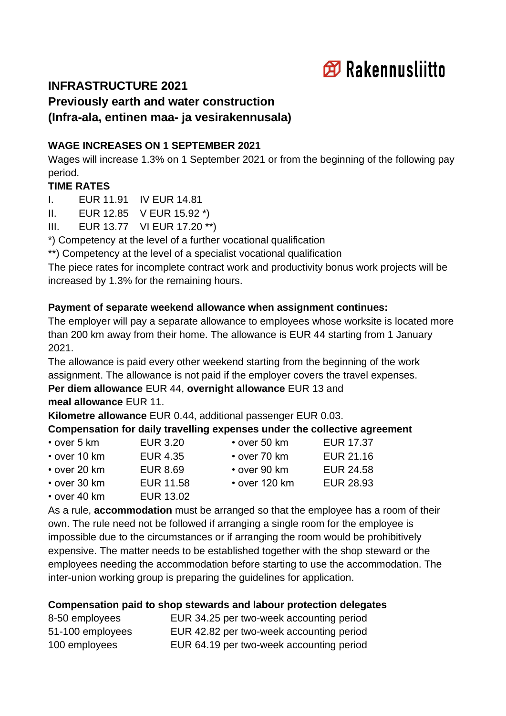

# **INFRASTRUCTURE 2021**

**Previously earth and water construction (Infra-ala, entinen maa- ja vesirakennusala)**

#### **WAGE INCREASES ON 1 SEPTEMBER 2021**

Wages will increase 1.3% on 1 September 2021 or from the beginning of the following pay period.

### **TIME RATES**

I. EUR 11.91 IV EUR 14.81

II. EUR 12.85 V EUR 15.92 \*)

III. EUR 13.77 VI EUR 17.20 \*\*)

\*) Competency at the level of a further vocational qualification

\*\*) Competency at the level of a specialist vocational qualification

The piece rates for incomplete contract work and productivity bonus work projects will be increased by 1.3% for the remaining hours.

### **Payment of separate weekend allowance when assignment continues:**

The employer will pay a separate allowance to employees whose worksite is located more than 200 km away from their home. The allowance is EUR 44 starting from 1 January 2021.

The allowance is paid every other weekend starting from the beginning of the work assignment. The allowance is not paid if the employer covers the travel expenses.

**Per diem allowance** EUR 44, **overnight allowance** EUR 13 and **meal allowance** EUR 11.

**Kilometre allowance** EUR 0.44, additional passenger EUR 0.03.

### **Compensation for daily travelling expenses under the collective agreement**

| $\cdot$ over 5 km  | EUR 3.20  | $\cdot$ over 50 km  | <b>EUR 17.37</b> |
|--------------------|-----------|---------------------|------------------|
| $\cdot$ over 10 km | EUR 4.35  | $\cdot$ over 70 km  | EUR 21.16        |
| $\cdot$ over 20 km | EUR 8.69  | $\cdot$ over 90 km  | <b>EUR 24.58</b> |
| $\cdot$ over 30 km | EUR 11.58 | $\cdot$ over 120 km | <b>EUR 28.93</b> |
| $\cdot$ over 40 km | EUR 13.02 |                     |                  |

As a rule, **accommodation** must be arranged so that the employee has a room of their own. The rule need not be followed if arranging a single room for the employee is impossible due to the circumstances or if arranging the room would be prohibitively expensive. The matter needs to be established together with the shop steward or the employees needing the accommodation before starting to use the accommodation. The inter-union working group is preparing the guidelines for application.

#### **Compensation paid to shop stewards and labour protection delegates**

| 8-50 employees   | EUR 34.25 per two-week accounting period |
|------------------|------------------------------------------|
| 51-100 employees | EUR 42.82 per two-week accounting period |
| 100 employees    | EUR 64.19 per two-week accounting period |